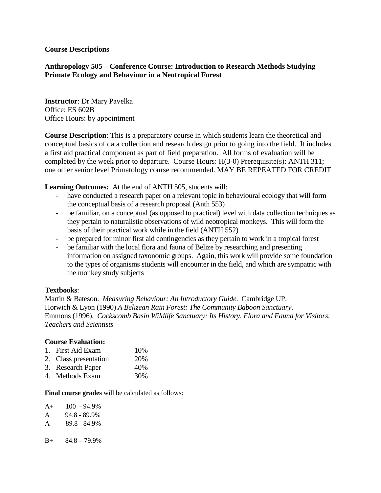### **Course Descriptions**

## **Anthropology 505 – Conference Course: Introduction to Research Methods Studying Primate Ecology and Behaviour in a Neotropical Forest**

**Instructor**: Dr Mary Pavelka Office: ES 602B Office Hours: by appointment

**Course Description**: This is a preparatory course in which students learn the theoretical and conceptual basics of data collection and research design prior to going into the field. It includes a first aid practical component as part of field preparation. All forms of evaluation will be completed by the week prior to departure. Course Hours: H(3-0) Prerequisite(s): ANTH 311; one other senior level Primatology course recommended. MAY BE REPEATED FOR CREDIT

**Learning Outcomes:** At the end of ANTH 505, students will:

- have conducted a research paper on a relevant topic in behavioural ecology that will form the conceptual basis of a research proposal (Anth 553)
- be familiar, on a conceptual (as opposed to practical) level with data collection techniques as they pertain to naturalistic observations of wild neotropical monkeys. This will form the basis of their practical work while in the field (ANTH 552)
- be prepared for minor first aid contingencies as they pertain to work in a tropical forest
- be familiar with the local flora and fauna of Belize by researching and presenting information on assigned taxonomic groups. Again, this work will provide some foundation to the types of organisms students will encounter in the field, and which are sympatric with the monkey study subjects

### **Textbooks**:

Martin & Bateson. *Measuring Behaviour: An Introductory Guide*. Cambridge UP. Horwich & Lyon (1990) *A Belizean Rain Forest: The Community Baboon Sanctuary*. Emmons (1996). *Cockscomb Basin Wildlife Sanctuary: Its History, Flora and Fauna for Visitors, Teachers and Scientists*

#### **Course Evaluation:**

- 1. First Aid Exam 10%
- 2. Class presentation 20%
- 3. Research Paper 40%
- 4. Methods Exam 30%

**Final course grades** will be calculated as follows:

| $A+$  | $100 - 94.9\%$ |
|-------|----------------|
| A     | 94.8 - 89.9%   |
| $A -$ | 89.8 - 84.9%   |
|       |                |
| $B+$  | $848 - 799$    |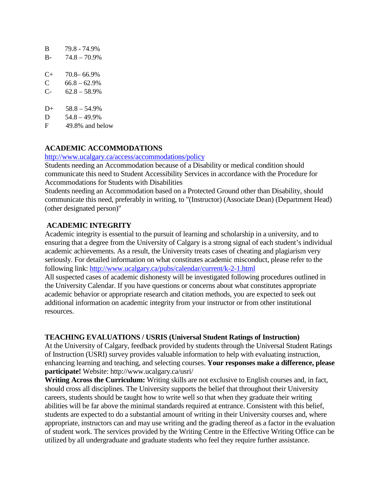| B         | 79.8 - 74.9%    |
|-----------|-----------------|
| $B -$     | $74.8 - 70.9\%$ |
|           |                 |
| $C_{\pm}$ | $70.8 - 66.9%$  |
| C         | $66.8 - 62.9\%$ |
|           |                 |
| C-        | $62.8 - 58.9\%$ |
|           |                 |
|           |                 |

- $D+ 58.8 54.9%$
- $D = 54.8 49.9%$
- F 49.8% and below

# **ACADEMIC ACCOMMODATIONS**

#### <http://www.ucalgary.ca/access/accommodations/policy>

Students needing an Accommodation because of a Disability or medical condition should communicate this need to Student Accessibility Services in accordance with the Procedure for Accommodations for Students with Disabilities

Students needing an Accommodation based on a Protected Ground other than Disability, should communicate this need, preferably in writing, to "(Instructor) (Associate Dean) (Department Head) (other designated person)"

# **ACADEMIC INTEGRITY**

Academic integrity is essential to the pursuit of learning and scholarship in a university, and to ensuring that a degree from the University of Calgary is a strong signal of each student's individual academic achievements. As a result, the University treats cases of cheating and plagiarism very seriously. For detailed information on what constitutes academic misconduct, please refer to the following link:<http://www.ucalgary.ca/pubs/calendar/current/k-2-1.html>

All suspected cases of academic dishonesty will be investigated following procedures outlined in the University Calendar. If you have questions or concerns about what constitutes appropriate academic behavior or appropriate research and citation methods, you are expected to seek out additional information on academic integrity from your instructor or from other institutional resources.

# **TEACHING EVALUATIONS / USRIS (Universal Student Ratings of Instruction)**

At the University of Calgary, feedback provided by students through the Universal Student Ratings of Instruction (USRI) survey provides valuable information to help with evaluating instruction, enhancing learning and teaching, and selecting courses. **Your responses make a difference, please participate!** Website: http://www.ucalgary.ca/usri/

**Writing Across the Curriculum:** Writing skills are not exclusive to English courses and, in fact, should cross all disciplines. The University supports the belief that throughout their University careers, students should be taught how to write well so that when they graduate their writing abilities will be far above the minimal standards required at entrance. Consistent with this belief, students are expected to do a substantial amount of writing in their University courses and, where appropriate, instructors can and may use writing and the grading thereof as a factor in the evaluation of student work. The services provided by the Writing Centre in the Effective Writing Office can be utilized by all undergraduate and graduate students who feel they require further assistance.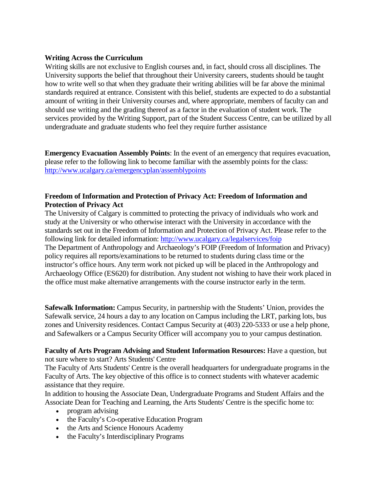## **Writing Across the Curriculum**

Writing skills are not exclusive to English courses and, in fact, should cross all disciplines. The University supports the belief that throughout their University careers, students should be taught how to write well so that when they graduate their writing abilities will be far above the minimal standards required at entrance. Consistent with this belief, students are expected to do a substantial amount of writing in their University courses and, where appropriate, members of faculty can and should use writing and the grading thereof as a factor in the evaluation of student work. The services provided by the Writing Support, part of the Student Success Centre, can be utilized by all undergraduate and graduate students who feel they require further assistance

**Emergency Evacuation Assembly Points**: In the event of an emergency that requires evacuation, please refer to the following link to become familiar with the assembly points for the class: <http://www.ucalgary.ca/emergencyplan/assemblypoints>

# **Freedom of Information and Protection of Privacy Act: Freedom of Information and Protection of Privacy Act**

The University of Calgary is committed to protecting the privacy of individuals who work and study at the University or who otherwise interact with the University in accordance with the standards set out in the Freedom of Information and Protection of Privacy Act. Please refer to the following link for detailed information:<http://www.ucalgary.ca/legalservices/foip> The Department of Anthropology and Archaeology's FOIP (Freedom of Information and Privacy) policy requires all reports/examinations to be returned to students during class time or the instructor's office hours. Any term work not picked up will be placed in the Anthropology and Archaeology Office (ES620) for distribution. Any student not wishing to have their work placed in the office must make alternative arrangements with the course instructor early in the term.

**Safewalk Information:** Campus Security, in partnership with the Students' Union, provides the Safewalk service, 24 hours a day to any location on Campus including the LRT, parking lots, bus zones and University residences. Contact Campus Security at (403) 220-5333 or use a help phone, and Safewalkers or a Campus Security Officer will accompany you to your campus destination.

**Faculty of Arts Program Advising and Student Information Resources:** Have a question, but not sure where to start? Arts Students' Centre

The Faculty of Arts Students' Centre is the overall headquarters for undergraduate programs in the Faculty of Arts. The key objective of this office is to connect students with whatever academic assistance that they require.

In addition to housing the Associate Dean, Undergraduate Programs and Student Affairs and the Associate Dean for Teaching and Learning, the Arts Students' Centre is the specific home to:

- program advising
- the Faculty's Co-operative Education Program
- the Arts and Science Honours Academy
- the Faculty's Interdisciplinary Programs